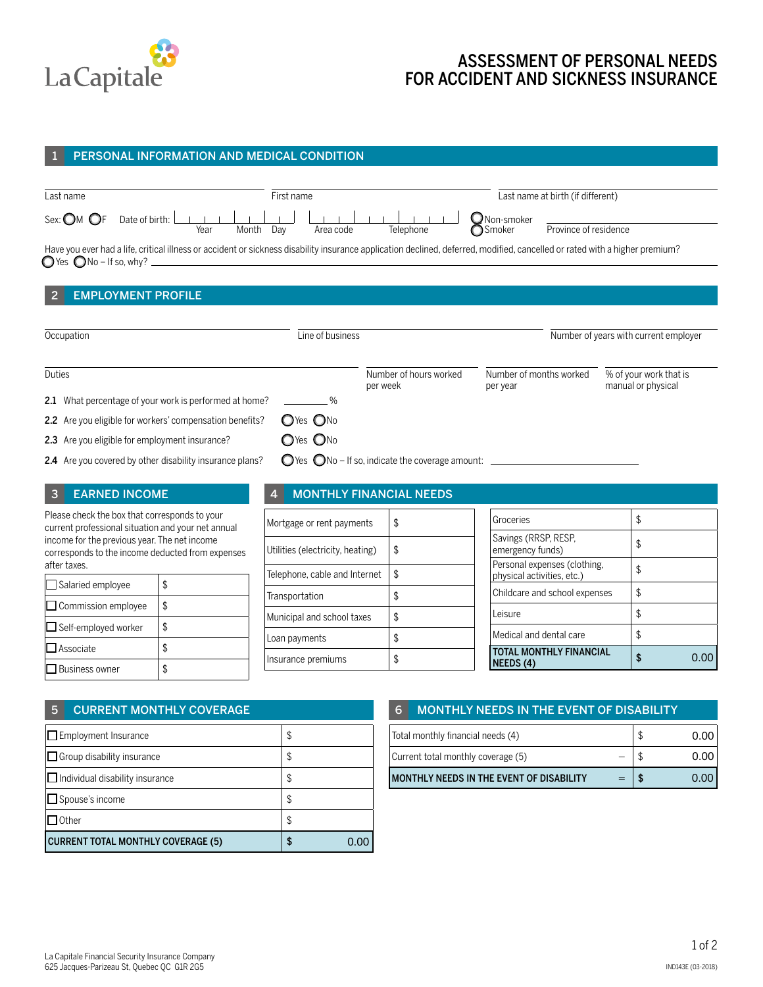

# ASSESSMENT OF PERSONAL NEEDS FOR ACCIDENT AND SICKNESS INSURANCE

### 1 PERSONAL INFORMATION AND MEDICAL CONDITION



## 2 EMPLOYMENT PROFILE

| Occupation                                               | Line of business |                                                                     | Number of years with current employer |                                              |  |  |
|----------------------------------------------------------|------------------|---------------------------------------------------------------------|---------------------------------------|----------------------------------------------|--|--|
| Duties                                                   |                  | Number of hours worked<br>per week                                  | Number of months worked<br>per year   | % of your work that is<br>manual or physical |  |  |
| 2.1 What percentage of your work is performed at home?   | $\frac{1}{2}$    |                                                                     |                                       |                                              |  |  |
| 2.2 Are you eligible for workers' compensation benefits? | OYes ONo         |                                                                     |                                       |                                              |  |  |
| 2.3 Are you eligible for employment insurance?           | OYes ONo         |                                                                     |                                       |                                              |  |  |
| 2.4 Are you covered by other disability insurance plans? |                  | $\bigcirc$ Yes $\bigcirc$ No – If so, indicate the coverage amount: |                                       |                                              |  |  |

### 3 EARNED INCOME

Please check the box that corresponds to your current professional situation and your net annual income for the previous year. The net income corresponds to the income deducted from expenses after taxes.

| Salaried employee          | \$ |
|----------------------------|----|
| $\Box$ Commission employee | \$ |
| Self-employed worker       | \$ |
| $\Box$ Associate           | \$ |
| <b>Business owner</b>      |    |

## 4 MONTHLY FINANCIAL NEEDS

| Mortgage or rent payments        | \$  |
|----------------------------------|-----|
| Utilities (electricity, heating) | S   |
| Telephone, cable and Internet    | \$  |
| Transportation                   | \$  |
| Municipal and school taxes       | \$. |
| Loan payments                    | \$  |
| Insurance premiums               |     |

| <b>TOTAL MONTHLY FINANCIAL</b><br>NEEDS (4)                |    |
|------------------------------------------------------------|----|
| Medical and dental care                                    | \$ |
| Leisure                                                    | \$ |
| Childcare and school expenses                              | \$ |
| Personal expenses (clothing,<br>physical activities, etc.) | \$ |
| Savings (RRSP, RESP,<br>emergency funds)                   |    |
| Groceries                                                  |    |

| 5<br><b>CURRENT MONTHLY COVERAGE</b>      |    |  |
|-------------------------------------------|----|--|
| $\Box$ Employment Insurance               | \$ |  |
| $\Box$ Group disability insurance<br>\$   |    |  |
| $\Box$ Individual disability insurance    | \$ |  |
| $\Box$ Spouse's income                    | \$ |  |
| $\Box$ Other<br>\$                        |    |  |
| <b>CURRENT TOTAL MONTHLY COVERAGE (5)</b> |    |  |

#### 6 MONTHLY NEEDS IN THE EVENT OF DISABILITY

|      | Total monthly financial needs (4)        |     | J  | 0.00 |
|------|------------------------------------------|-----|----|------|
|      | Current total monthly coverage (5)       |     | ۰D | 0.00 |
|      | MONTHLY NEEDS IN THE EVENT OF DISABILITY | $=$ |    | 0.00 |
|      |                                          |     |    |      |
|      |                                          |     |    |      |
| 0.00 |                                          |     |    |      |

Ī